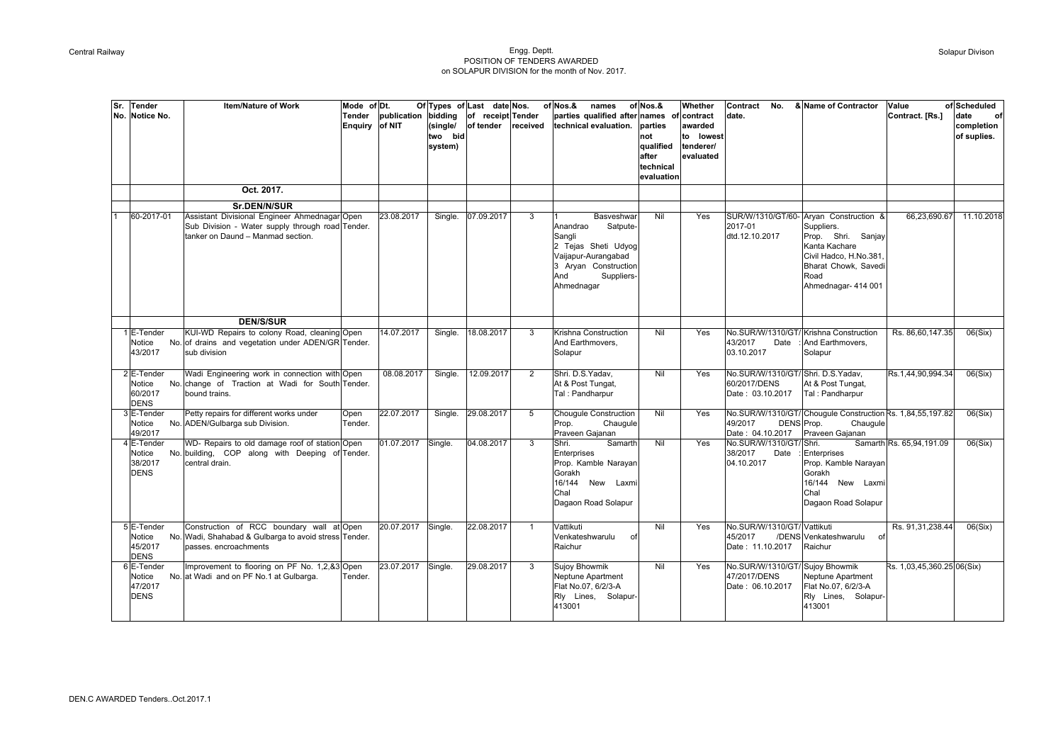## Central Railway Engg. Deptt. POSITION OF TENDERS AWARDED on SOLAPUR DIVISION for the month of Nov. 2017.

| Sr. | <b>Tender</b><br>No. Notice No.                | Mode of Dt.<br><b>Item/Nature of Work</b><br>Tender<br>Enquiry of NIT                                                                                  | publication bidding | (single/<br>two bid<br>system) | Of Types of Last date Nos.<br>of receipt Tender<br>of tender | received       | of Nos.&<br>names<br>parties qualified after names<br>technical evaluation.                                                                           | of Nos.&<br>parties<br>not<br>qualified<br>after<br>technical<br>evaluation | Whether<br>of contract<br>awarded<br>to lowest<br>tenderer/<br>evaluated | & Name of Contractor<br>Contract<br>No.<br>date.                                                                                                                                                         | Value<br>Contract. [Rs.]   | of Scheduled<br>date<br>of<br>completion<br>of suplies. |
|-----|------------------------------------------------|--------------------------------------------------------------------------------------------------------------------------------------------------------|---------------------|--------------------------------|--------------------------------------------------------------|----------------|-------------------------------------------------------------------------------------------------------------------------------------------------------|-----------------------------------------------------------------------------|--------------------------------------------------------------------------|----------------------------------------------------------------------------------------------------------------------------------------------------------------------------------------------------------|----------------------------|---------------------------------------------------------|
|     |                                                | Oct. 2017.                                                                                                                                             |                     |                                |                                                              |                |                                                                                                                                                       |                                                                             |                                                                          |                                                                                                                                                                                                          |                            |                                                         |
|     | 60-2017-01                                     | Sr.DEN/N/SUR<br>Assistant Divisional Engineer Ahmednagar Open<br>Sub Division - Water supply through road Tender.<br>tanker on Daund - Manmad section. | 23.08.2017          | Single.                        | 07.09.2017                                                   | 3              | Basveshwar<br>Satpute-<br>Anandrao<br>Sangli<br>2 Tejas Sheti Udyog<br>Vaijapur-Aurangabad<br>3 Aryan Construction<br>And<br>Suppliers-<br>Ahmednagar | Nil                                                                         | Yes                                                                      | SUR/W/1310/GT/60- Aryan Construction &<br>2017-01<br>Suppliers.<br>Prop. Shri. Sanjay<br>dtd.12.10.2017<br>Kanta Kachare<br>Civil Hadco, H.No.381<br>Bharat Chowk, Savedi<br>Road<br>Ahmednagar- 414 001 | 66,23,690.67               | 11.10.2018                                              |
|     |                                                | <b>DEN/S/SUR</b>                                                                                                                                       |                     |                                |                                                              |                |                                                                                                                                                       |                                                                             |                                                                          |                                                                                                                                                                                                          |                            |                                                         |
|     | 1 E-Tender<br>Notice<br>43/2017                | KUI-WD Repairs to colony Road, cleaning Open<br>No. of drains and vegetation under ADEN/GR Tender.<br>sub division                                     | 14.07.2017          | Single.                        | 18.08.2017                                                   | 3              | Krishna Construction<br>And Earthmovers,<br>Solapur                                                                                                   | Nil                                                                         | Yes                                                                      | No.SUR/W/1310/GT/ Krishna Construction<br>43/2017<br>And Earthmovers,<br>Date<br>03.10.2017<br>Solapur                                                                                                   | Rs. 86,60,147.35           | 06(Six)                                                 |
|     | 2 E-Tender<br>Notice<br>60/2017<br><b>DENS</b> | Wadi Engineering work in connection with Open<br>No. change of Traction at Wadi for South Tender.<br>bound trains.                                     | 08.08.2017          | Single.                        | 12.09.2017                                                   | $\overline{2}$ | Shri. D.S.Yadav,<br>At & Post Tungat,<br>Tal: Pandharpur                                                                                              | Nil                                                                         | Yes                                                                      | No.SUR/W/1310/GT/ Shri. D.S.Yadav,<br>60/2017/DENS<br>At & Post Tungat,<br>Date: 03.10.2017<br>Tal: Pandharpur                                                                                           | Rs.1,44,90,994.34          | 06(Six)                                                 |
|     | 3 E-Tender<br>Notice<br>49/2017                | Petty repairs for different works under<br>Open<br>No. ADEN/Gulbarga sub Division.<br>Tender.                                                          | 22.07.2017          | Single.                        | 29.08.2017                                                   | 5              | <b>Chouqule Construction</b><br>Chaugule<br>Prop.<br>Praveen Gajanan                                                                                  | Nil                                                                         | Yes                                                                      | No.SUR/W/1310/GT/ Chougule Construction Rs. 1,84,55,197.82<br>49/2017<br>DENS Prop.<br>Chaugule<br>Date: 04.10.2017<br>Praveen Gajanan                                                                   |                            | 06(Six)                                                 |
|     | 4 E-Tender<br>Notice<br>38/2017<br><b>DENS</b> | WD- Repairs to old damage roof of station Open<br>No. building, COP along with Deeping of Tender.<br>central drain.                                    | 01.07.2017          | Single.                        | 04.08.2017                                                   | 3              | Shri.<br>Samarth<br>Enterprises<br>Prop. Kamble Narayan<br>Gorakh<br>16/144 New Laxmi<br>Chal<br>Dagaon Road Solapur                                  | Nil                                                                         | Yes                                                                      | No.SUR/W/1310/GT/Shri.<br>38/2017<br>Date<br>Enterprises<br>04.10.2017<br>Prop. Kamble Narayan<br>Gorakh<br>16/144 New Laxmi<br>Chal<br>Dagaon Road Solapur                                              | Samarth Rs. 65,94,191.09   | 06(Six)                                                 |
|     | 5 E-Tender<br>Notice<br>45/2017<br><b>DENS</b> | Construction of RCC boundary wall at Open<br>No. Wadi, Shahabad & Gulbarga to avoid stress Tender.<br>passes, encroachments                            | 20.07.2017          | Single.                        | 22.08.2017                                                   | $\mathbf{1}$   | Vattikuti<br>Venkateshwarulu<br>οf<br>Raichur                                                                                                         | Nil                                                                         | Yes                                                                      | No.SUR/W/1310/GT/ Vattikuti<br>/DENS Venkateshwarulu<br>45/2017<br>0<br>Date: 11.10.2017<br>Raichur                                                                                                      | Rs. 91,31,238.44           | 06(Six)                                                 |
|     | 6 E-Tender<br>Notice<br>47/2017<br><b>DENS</b> | Improvement to flooring on PF No. 1,2,&3 Open<br>No. at Wadi and on PF No.1 at Gulbarga.<br>Tender.                                                    | 23.07.2017 Single.  |                                | 29.08.2017                                                   | $\mathbf{3}$   | Sujoy Bhowmik<br>Neptune Apartment<br>Flat No.07, 6/2/3-A<br>Rly Lines, Solapur-<br>413001                                                            | Nil                                                                         | Yes                                                                      | No.SUR/W/1310/GT/ Sujoy Bhowmik<br>47/2017/DENS<br>Neptune Apartment<br>Flat No.07, 6/2/3-A<br>Date: 06.10.2017<br>Rly Lines, Solapur-<br>413001                                                         | Rs. 1,03,45,360.25 06(Six) |                                                         |